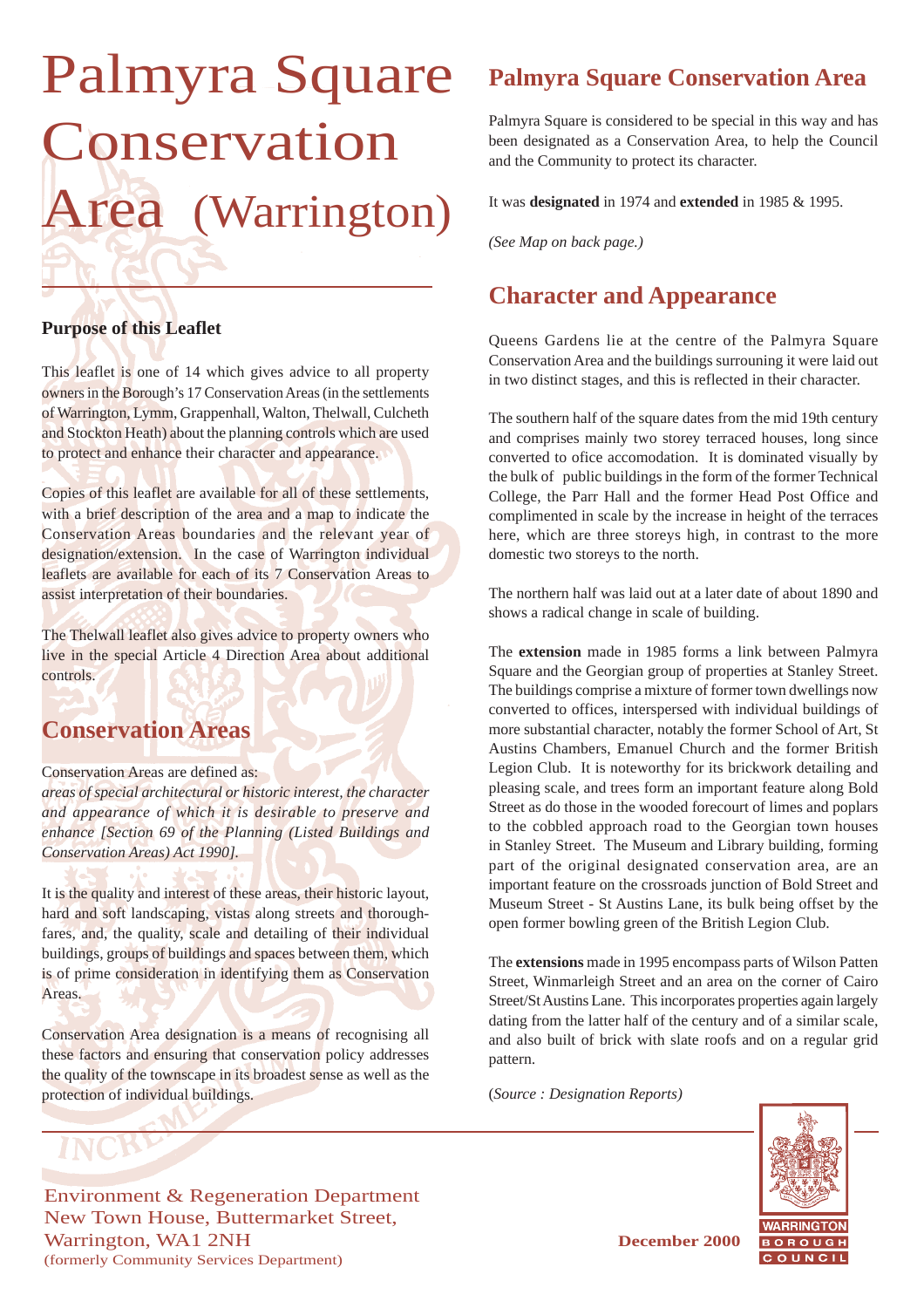# Palmyra Square Conservation Area (Warrington)

### **Purpose of this Leaflet**

This leaflet is one of 14 which gives advice to all property owners in the Borough's 17 Conservation Areas (in the settlements of Warrington, Lymm, Grappenhall, Walton, Thelwall, Culcheth and Stockton Heath) about the planning controls which are used to protect and enhance their character and appearance.

Copies of this leaflet are available for all of these settlements, with a brief description of the area and a map to indicate the Conservation Areas boundaries and the relevant year of designation/extension. In the case of Warrington individual leaflets are available for each of its 7 Conservation Areas to assist interpretation of their boundaries.

The Thelwall leaflet also gives advice to property owners who live in the special Article 4 Direction Area about additional controls.

# **Conservation Areas**

Conservation Areas are defined as:

*areas of special architectural or historic interest, the character and appearance of which it is desirable to preserve and enhance [Section 69 of the Planning (Listed Buildings and Conservation Areas) Act 1990].*

It is the quality and interest of these areas, their historic layout, hard and soft landscaping, vistas along streets and thoroughfares, and, the quality, scale and detailing of their individual buildings, groups of buildings and spaces between them, which is of prime consideration in identifying them as Conservation Areas.

Conservation Area designation is a means of recognising all these factors and ensuring that conservation policy addresses the quality of the townscape in its broadest sense as well as the protection of individual buildings.

# **Palmyra Square Conservation Area**

Palmyra Square is considered to be special in this way and has been designated as a Conservation Area, to help the Council and the Community to protect its character.

It was **designated** in 1974 and **extended** in 1985 & 1995.

*(See Map on back page.)*

# **Character and Appearance**

Queens Gardens lie at the centre of the Palmyra Square Conservation Area and the buildings surrouning it were laid out in two distinct stages, and this is reflected in their character.

The southern half of the square dates from the mid 19th century and comprises mainly two storey terraced houses, long since converted to ofice accomodation. It is dominated visually by the bulk of public buildings in the form of the former Technical College, the Parr Hall and the former Head Post Office and complimented in scale by the increase in height of the terraces here, which are three storeys high, in contrast to the more domestic two storeys to the north.

The northern half was laid out at a later date of about 1890 and shows a radical change in scale of building.

The **extension** made in 1985 forms a link between Palmyra Square and the Georgian group of properties at Stanley Street. The buildings comprise a mixture of former town dwellings now converted to offices, interspersed with individual buildings of more substantial character, notably the former School of Art, St Austins Chambers, Emanuel Church and the former British Legion Club. It is noteworthy for its brickwork detailing and pleasing scale, and trees form an important feature along Bold Street as do those in the wooded forecourt of limes and poplars to the cobbled approach road to the Georgian town houses in Stanley Street. The Museum and Library building, forming part of the original designated conservation area, are an important feature on the crossroads junction of Bold Street and Museum Street - St Austins Lane, its bulk being offset by the open former bowling green of the British Legion Club.

The **extensions** made in 1995 encompass parts of Wilson Patten Street, Winmarleigh Street and an area on the corner of Cairo Street/St Austins Lane. This incorporates properties again largely dating from the latter half of the century and of a similar scale, and also built of brick with slate roofs and on a regular grid pattern.

(*Source : Designation Reports)*



Environment & Regeneration Department New Town House, Buttermarket Street, Warrington, WA1 2NH **December 2000** (formerly Community Services Department)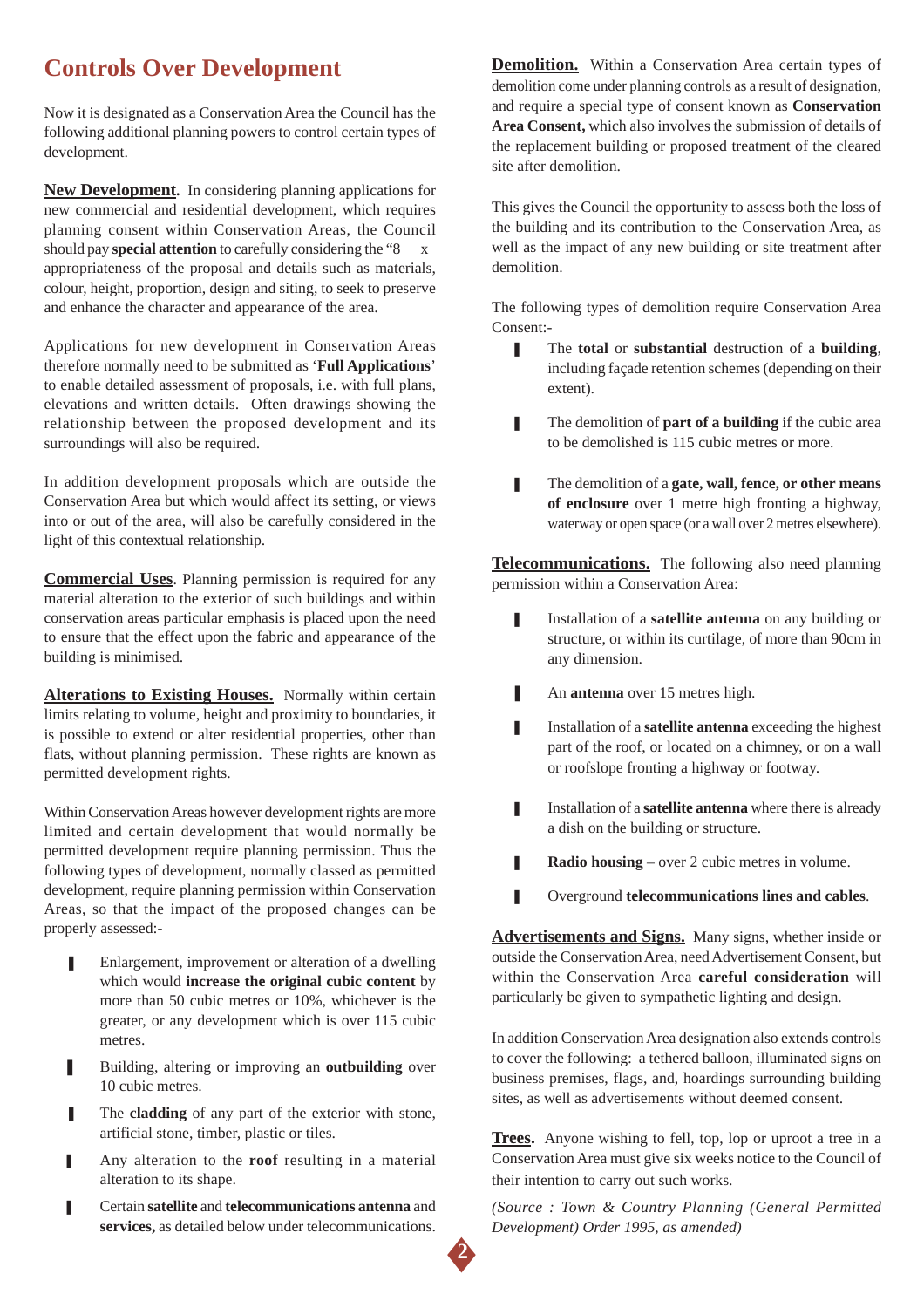# **Controls Over Development**

Now it is designated as a Conservation Area the Council has the following additional planning powers to control certain types of development.

**New Development.** In considering planning applications for new commercial and residential development, which requires planning consent within Conservation Areas, the Council should pay **special attention** to carefully considering the "8 x appropriateness of the proposal and details such as materials, colour, height, proportion, design and siting, to seek to preserve and enhance the character and appearance of the area.

Applications for new development in Conservation Areas therefore normally need to be submitted as '**Full Applications**' to enable detailed assessment of proposals, i.e. with full plans, elevations and written details. Often drawings showing the relationship between the proposed development and its surroundings will also be required.

In addition development proposals which are outside the Conservation Area but which would affect its setting, or views into or out of the area, will also be carefully considered in the light of this contextual relationship.

**Commercial Uses**. Planning permission is required for any material alteration to the exterior of such buildings and within conservation areas particular emphasis is placed upon the need to ensure that the effect upon the fabric and appearance of the building is minimised.

**Alterations to Existing Houses.** Normally within certain limits relating to volume, height and proximity to boundaries, it is possible to extend or alter residential properties, other than flats, without planning permission. These rights are known as permitted development rights.

Within Conservation Areas however development rights are more limited and certain development that would normally be permitted development require planning permission. Thus the following types of development, normally classed as permitted development, require planning permission within Conservation Areas, so that the impact of the proposed changes can be properly assessed:-

- Enlargement, improvement or alteration of a dwelling which would **increase the original cubic content** by more than 50 cubic metres or 10%, whichever is the greater, or any development which is over 115 cubic metres.
- Building, altering or improving an **outbuilding** over 10 cubic metres.
- The **cladding** of any part of the exterior with stone, artificial stone, timber, plastic or tiles.
- Any alteration to the **roof** resulting in a material alteration to its shape.
- ❚ Certain **satellite** and **telecommunications antenna** and **services,** as detailed below under telecommunications.

**Demolition.** Within a Conservation Area certain types of demolition come under planning controls as a result of designation, and require a special type of consent known as **Conservation Area Consent,** which also involves the submission of details of the replacement building or proposed treatment of the cleared site after demolition.

This gives the Council the opportunity to assess both the loss of the building and its contribution to the Conservation Area, as well as the impact of any new building or site treatment after demolition.

The following types of demolition require Conservation Area Consent:-

- The **total** or **substantial** destruction of a **building**, including façade retention schemes (depending on their extent).
- The demolition of **part of a building** if the cubic area to be demolished is 115 cubic metres or more.
- **■** The demolition of a **gate, wall, fence, or other means of enclosure** over 1 metre high fronting a highway, waterway or open space (or a wall over 2 metres elsewhere).

**Telecommunications.** The following also need planning permission within a Conservation Area:

- **I** Installation of a **satellite antenna** on any building or structure, or within its curtilage, of more than 90cm in any dimension.
- An **antenna** over 15 metres high.
- **■** Installation of a **satellite antenna** exceeding the highest part of the roof, or located on a chimney, or on a wall or roofslope fronting a highway or footway.
- **I** Installation of a **satellite antenna** where there is already a dish on the building or structure.
- **■** Radio housing over 2 cubic metres in volume.
- ❚ Overground **telecommunications lines and cables**.

**Advertisements and Signs.** Many signs, whether inside or outside the Conservation Area, need Advertisement Consent, but within the Conservation Area **careful consideration** will particularly be given to sympathetic lighting and design.

In addition Conservation Area designation also extends controls to cover the following: a tethered balloon, illuminated signs on business premises, flags, and, hoardings surrounding building sites, as well as advertisements without deemed consent.

**Trees.** Anyone wishing to fell, top, lop or uproot a tree in a Conservation Area must give six weeks notice to the Council of their intention to carry out such works.

*(Source : Town & Country Planning (General Permitted Development) Order 1995, as amended)*

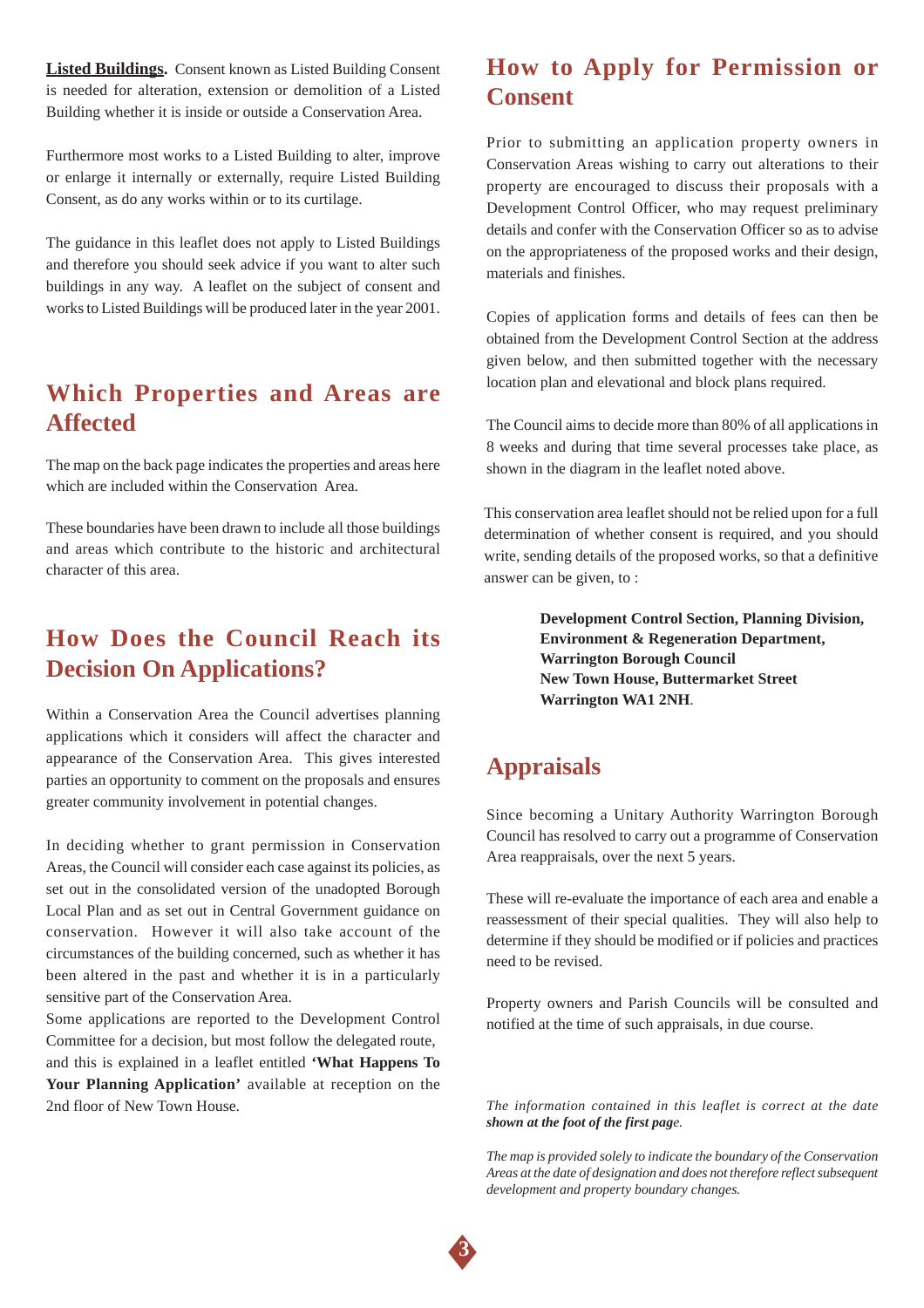**Listed Buildings.** Consent known as Listed Building Consent is needed for alteration, extension or demolition of a Listed Building whether it is inside or outside a Conservation Area.

Furthermore most works to a Listed Building to alter, improve or enlarge it internally or externally, require Listed Building Consent, as do any works within or to its curtilage.

The guidance in this leaflet does not apply to Listed Buildings and therefore you should seek advice if you want to alter such buildings in any way. A leaflet on the subject of consent and works to Listed Buildings will be produced later in the year 2001.

### **Which Properties and Areas are Affected**

The map on the back page indicates the properties and areas here which are included within the Conservation Area.

These boundaries have been drawn to include all those buildings and areas which contribute to the historic and architectural character of this area.

# **How Does the Council Reach its Decision On Applications?**

Within a Conservation Area the Council advertises planning applications which it considers will affect the character and appearance of the Conservation Area. This gives interested parties an opportunity to comment on the proposals and ensures greater community involvement in potential changes.

In deciding whether to grant permission in Conservation Areas, the Council will consider each case against its policies, as set out in the consolidated version of the unadopted Borough Local Plan and as set out in Central Government guidance on conservation. However it will also take account of the circumstances of the building concerned, such as whether it has been altered in the past and whether it is in a particularly sensitive part of the Conservation Area.

Some applications are reported to the Development Control Committee for a decision, but most follow the delegated route, and this is explained in a leaflet entitled **'What Happens To Your Planning Application'** available at reception on the 2nd floor of New Town House.

## **How to Apply for Permission or Consent**

Prior to submitting an application property owners in Conservation Areas wishing to carry out alterations to their property are encouraged to discuss their proposals with a Development Control Officer, who may request preliminary details and confer with the Conservation Officer so as to advise on the appropriateness of the proposed works and their design, materials and finishes.

Copies of application forms and details of fees can then be obtained from the Development Control Section at the address given below, and then submitted together with the necessary location plan and elevational and block plans required.

The Council aims to decide more than 80% of all applications in 8 weeks and during that time several processes take place, as shown in the diagram in the leaflet noted above.

This conservation area leaflet should not be relied upon for a full determination of whether consent is required, and you should write, sending details of the proposed works, so that a definitive answer can be given, to :

> **Development Control Section, Planning Division, Environment & Regeneration Department, Warrington Borough Council New Town House, Buttermarket Street Warrington WA1 2NH**.

# **Appraisals**

Since becoming a Unitary Authority Warrington Borough Council has resolved to carry out a programme of Conservation Area reappraisals, over the next 5 years.

These will re-evaluate the importance of each area and enable a reassessment of their special qualities. They will also help to determine if they should be modified or if policies and practices need to be revised.

Property owners and Parish Councils will be consulted and notified at the time of such appraisals, in due course.

*The information contained in this leaflet is correct at the date shown at the foot of the first page.*

*The map is provided solely to indicate the boundary of the Conservation Areas at the date of designation and does not therefore reflect subsequent development and property boundary changes.*